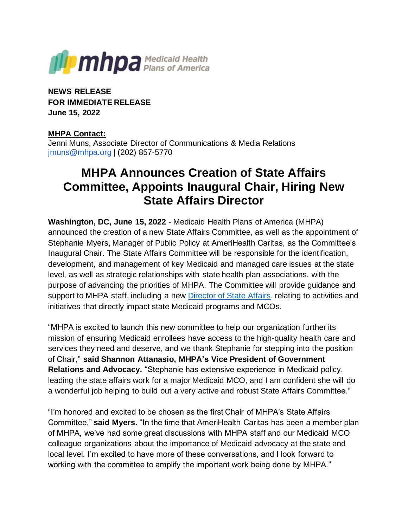

**NEWS RELEASE FOR IMMEDIATE RELEASE June 15, 2022**

## **MHPA Contact:**

Jenni Muns, Associate Director of Communications & Media Relations jmuns@mhpa.org | (202) 857-5770

## **MHPA Announces Creation of State Affairs Committee, Appoints Inaugural Chair, Hiring New State Affairs Director**

**Washington, DC, June 15, 2022** - Medicaid Health Plans of America (MHPA) announced the creation of a new State Affairs Committee, as well as the appointment of Stephanie Myers, Manager of Public Policy at AmeriHealth Caritas, as the Committee's Inaugural Chair. The State Affairs Committee will be responsible for the identification, development, and management of key Medicaid and managed care issues at the state level, as well as strategic relationships with state health plan associations, with the purpose of advancing the priorities of MHPA. The Committee will provide guidance and support to MHPA staff, including a new [Director of State Affairs,](https://medicaidplans.org/about-mhpa/job-opportunities-2/) relating to activities and initiatives that directly impact state Medicaid programs and MCOs.

"MHPA is excited to launch this new committee to help our organization further its mission of ensuring Medicaid enrollees have access to the high-quality health care and services they need and deserve, and we thank Stephanie for stepping into the position of Chair," **said Shannon Attanasio, MHPA's Vice President of Government Relations and Advocacy.** "Stephanie has extensive experience in Medicaid policy, leading the state affairs work for a major Medicaid MCO, and I am confident she will do a wonderful job helping to build out a very active and robust State Affairs Committee."

"I'm honored and excited to be chosen as the first Chair of MHPA's State Affairs Committee," **said Myers.** "In the time that AmeriHealth Caritas has been a member plan of MHPA, we've had some great discussions with MHPA staff and our Medicaid MCO colleague organizations about the importance of Medicaid advocacy at the state and local level. I'm excited to have more of these conversations, and I look forward to working with the committee to amplify the important work being done by MHPA."